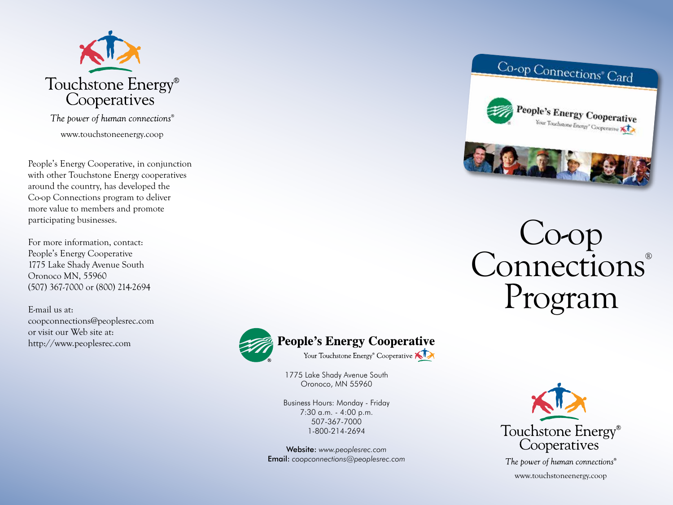

The power of human connections<sup>®</sup> www.touchstoneenergy.coop

People's Energy Cooperative, in conjunction with other Touchstone Energy cooperatives around the country, has developed the Co-op Connections program to deliver more value to members and promote participating businesses.

For more information, contact: People's Energy Cooperative 1775 Lake Shady Avenue South Oronoco MN, 55960 (507) 367-7000 or (800) 214-2694

E-mail us at: coopconnections@peoplesrec.com or visit our Web site at: http://www.peoplesrec.com



1775 Lake Shady Avenue South Oronoco, MN 55960

Business Hours: Monday - Friday 7:30 a.m. - 4:00 p.m. 507-367-7000 1-800-214-2694

Website: *www.peoplesrec.com* Email: *coopconnections@peoplesrec.com*



The power of human connections® www.touchstoneenergy.coop





## Co-op Connections® Program